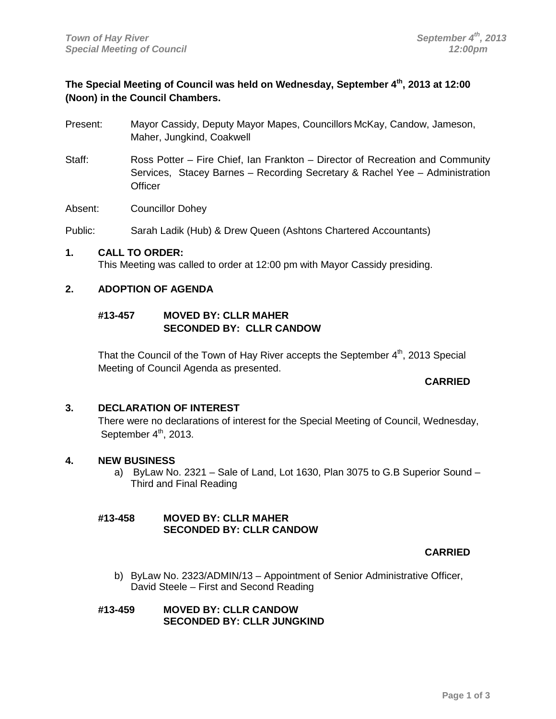# **The Special Meeting of Council was held on Wednesday, September 4th, 2013 at 12:00 (Noon) in the Council Chambers.**

- Present: Mayor Cassidy, Deputy Mayor Mapes, Councillors McKay, Candow, Jameson, Maher, Jungkind, Coakwell
- Staff: Ross Potter Fire Chief, Ian Frankton Director of Recreation and Community Services, Stacey Barnes – Recording Secretary & Rachel Yee – Administration **Officer**

Absent: Councillor Dohey

Public: Sarah Ladik (Hub) & Drew Queen (Ashtons Chartered Accountants)

#### **1. CALL TO ORDER:**

This Meeting was called to order at 12:00 pm with Mayor Cassidy presiding.

# **2. ADOPTION OF AGENDA**

# **#13-457 MOVED BY: CLLR MAHER SECONDED BY: CLLR CANDOW**

That the Council of the Town of Hay River accepts the September  $4<sup>th</sup>$ , 2013 Special Meeting of Council Agenda as presented.

#### **CARRIED**

# **3. DECLARATION OF INTEREST**

There were no declarations of interest for the Special Meeting of Council, Wednesday, September  $4<sup>th</sup>$ , 2013.

#### **4. NEW BUSINESS**

a) ByLaw No. 2321 – Sale of Land, Lot 1630, Plan 3075 to G.B Superior Sound – Third and Final Reading

## **#13-458 MOVED BY: CLLR MAHER SECONDED BY: CLLR CANDOW**

# **CARRIED**

b) ByLaw No. 2323/ADMIN/13 – Appointment of Senior Administrative Officer, David Steele – First and Second Reading

## **#13-459 MOVED BY: CLLR CANDOW SECONDED BY: CLLR JUNGKIND**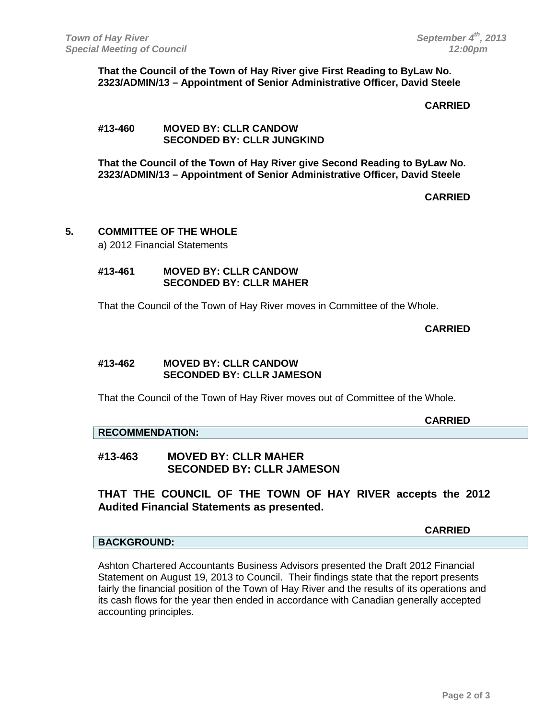**That the Council of the Town of Hay River give First Reading to ByLaw No. 2323/ADMIN/13 – Appointment of Senior Administrative Officer, David Steele**

#### **CARRIED**

## **#13-460 MOVED BY: CLLR CANDOW SECONDED BY: CLLR JUNGKIND**

**That the Council of the Town of Hay River give Second Reading to ByLaw No. 2323/ADMIN/13 – Appointment of Senior Administrative Officer, David Steele**

**CARRIED**

### **5. COMMITTEE OF THE WHOLE** a) 2012 Financial Statements

**#13-461 MOVED BY: CLLR CANDOW SECONDED BY: CLLR MAHER**

That the Council of the Town of Hay River moves in Committee of the Whole.

## **CARRIED**

**CARRIED**

#### **#13-462 MOVED BY: CLLR CANDOW SECONDED BY: CLLR JAMESON**

That the Council of the Town of Hay River moves out of Committee of the Whole.

#### **RECOMMENDATION:**

# **#13-463 MOVED BY: CLLR MAHER SECONDED BY: CLLR JAMESON**

**THAT THE COUNCIL OF THE TOWN OF HAY RIVER accepts the 2012 Audited Financial Statements as presented.** 

**CARRIED**

# **BACKGROUND:**

Ashton Chartered Accountants Business Advisors presented the Draft 2012 Financial Statement on August 19, 2013 to Council. Their findings state that the report presents fairly the financial position of the Town of Hay River and the results of its operations and its cash flows for the year then ended in accordance with Canadian generally accepted accounting principles.